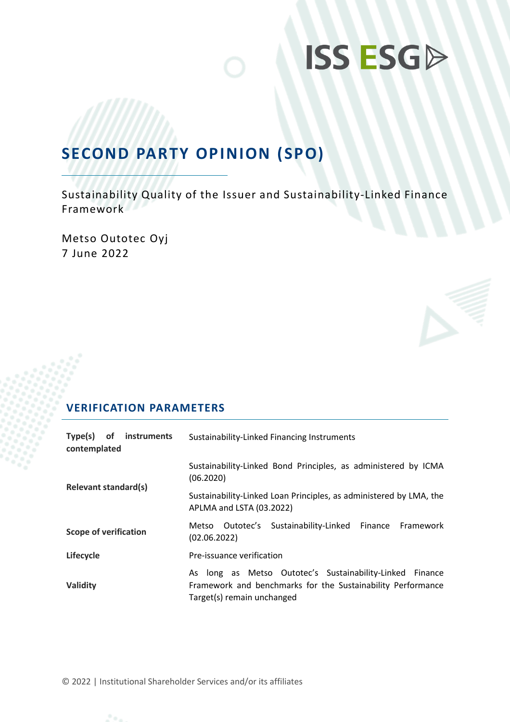# **ISS ESGD**

## **SECOND PARTY OPINION (SPO)**

Sustainability Quality of the Issuer and Sustainability-Linked Finance Framework

Metso Outotec Oyj 7 June 2022



| Type(s)<br>of instruments<br>contemplated | Sustainability-Linked Financing Instruments                                                                                                           |  |  |  |
|-------------------------------------------|-------------------------------------------------------------------------------------------------------------------------------------------------------|--|--|--|
| <b>Relevant standard(s)</b>               | Sustainability-Linked Bond Principles, as administered by ICMA<br>(06.2020)                                                                           |  |  |  |
|                                           | Sustainability-Linked Loan Principles, as administered by LMA, the<br>APLMA and LSTA (03.2022)                                                        |  |  |  |
| <b>Scope of verification</b>              | Sustainability-Linked Finance Framework<br>Metso Outotec's<br>(02.06.2022)                                                                            |  |  |  |
| Lifecycle                                 | Pre-issuance verification                                                                                                                             |  |  |  |
| Validity                                  | As long as Metso Outotec's Sustainability-Linked Finance<br>Framework and benchmarks for the Sustainability Performance<br>Target(s) remain unchanged |  |  |  |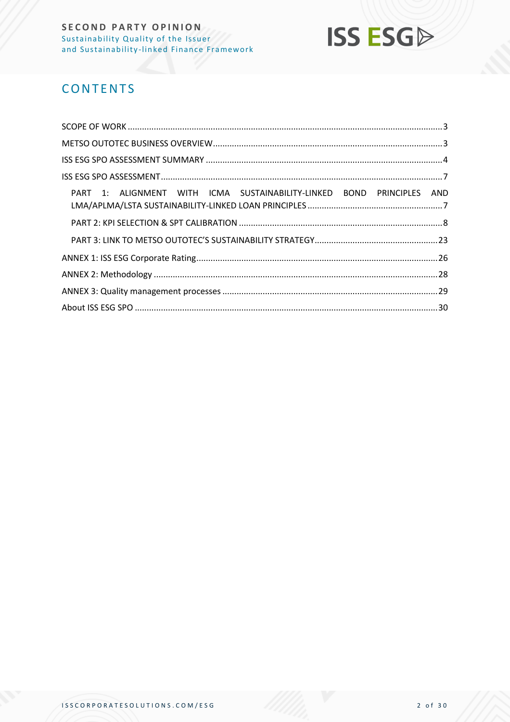

## **CONTENTS**

| PART 1: ALIGNMENT WITH ICMA SUSTAINABILITY-LINKED BOND PRINCIPLES AND |  |
|-----------------------------------------------------------------------|--|
|                                                                       |  |
|                                                                       |  |
|                                                                       |  |
|                                                                       |  |
|                                                                       |  |
|                                                                       |  |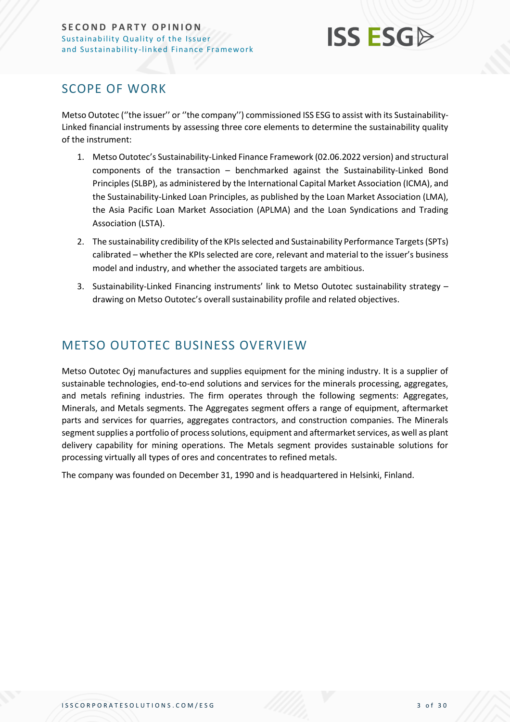

## <span id="page-2-0"></span>SCOPE OF WORK

Metso Outotec (''the issuer'' or ''the company'') commissioned ISS ESG to assist with its Sustainability-Linked financial instruments by assessing three core elements to determine the sustainability quality of the instrument:

- 1. Metso Outotec's Sustainability-Linked Finance Framework (02.06.2022 version) and structural components of the transaction – benchmarked against the Sustainability-Linked Bond Principles (SLBP), as administered by the International Capital Market Association (ICMA), and the Sustainability-Linked Loan Principles, as published by the Loan Market Association (LMA), the Asia Pacific Loan Market Association (APLMA) and the Loan Syndications and Trading Association (LSTA).
- 2. The sustainability credibility of the KPIs selected and Sustainability Performance Targets (SPTs) calibrated – whether the KPIs selected are core, relevant and material to the issuer's business model and industry, and whether the associated targets are ambitious.
- 3. Sustainability-Linked Financing instruments' link to Metso Outotec sustainability strategy drawing on Metso Outotec's overall sustainability profile and related objectives.

## <span id="page-2-1"></span>METSO OUTOTEC BUSINESS OVERVIEW

Metso Outotec Oyj manufactures and supplies equipment for the mining industry. It is a supplier of sustainable technologies, end-to-end solutions and services for the minerals processing, aggregates, and metals refining industries. The firm operates through the following segments: Aggregates, Minerals, and Metals segments. The Aggregates segment offers a range of equipment, aftermarket parts and services for quarries, aggregates contractors, and construction companies. The Minerals segment supplies a portfolio of process solutions, equipment and aftermarket services, as well as plant delivery capability for mining operations. The Metals segment provides sustainable solutions for processing virtually all types of ores and concentrates to refined metals.

The company was founded on December 31, 1990 and is headquartered in Helsinki, Finland.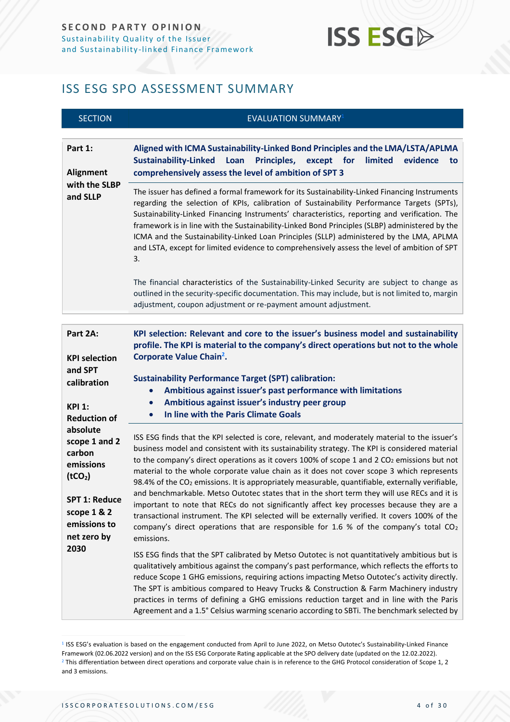## **ISS ESGA**

## <span id="page-3-0"></span>ISS ESG SPO ASSESSMENT SUMMARY

| <b>SECTION</b>                                                                                                                                        | <b>EVALUATION SUMMARY</b> <sup>1</sup>                                                                                                                                                                                                                                                                                                                                                                                                                                                                                                                                                                                                                                                                                                                                                                                                                                                                                        |
|-------------------------------------------------------------------------------------------------------------------------------------------------------|-------------------------------------------------------------------------------------------------------------------------------------------------------------------------------------------------------------------------------------------------------------------------------------------------------------------------------------------------------------------------------------------------------------------------------------------------------------------------------------------------------------------------------------------------------------------------------------------------------------------------------------------------------------------------------------------------------------------------------------------------------------------------------------------------------------------------------------------------------------------------------------------------------------------------------|
| Part 1:<br>Alignment                                                                                                                                  | Aligned with ICMA Sustainability-Linked Bond Principles and the LMA/LSTA/APLMA<br><b>Sustainability-Linked</b><br>Loan<br>Principles,<br>limited<br>evidence<br>except<br>for<br>to<br>comprehensively assess the level of ambition of SPT 3                                                                                                                                                                                                                                                                                                                                                                                                                                                                                                                                                                                                                                                                                  |
| with the SLBP<br>and SLLP                                                                                                                             | The issuer has defined a formal framework for its Sustainability-Linked Financing Instruments<br>regarding the selection of KPIs, calibration of Sustainability Performance Targets (SPTs),<br>Sustainability-Linked Financing Instruments' characteristics, reporting and verification. The<br>framework is in line with the Sustainability-Linked Bond Principles (SLBP) administered by the<br>ICMA and the Sustainability-Linked Loan Principles (SLLP) administered by the LMA, APLMA<br>and LSTA, except for limited evidence to comprehensively assess the level of ambition of SPT<br>3.                                                                                                                                                                                                                                                                                                                              |
|                                                                                                                                                       | The financial characteristics of the Sustainability-Linked Security are subject to change as<br>outlined in the security-specific documentation. This may include, but is not limited to, margin<br>adjustment, coupon adjustment or re-payment amount adjustment.                                                                                                                                                                                                                                                                                                                                                                                                                                                                                                                                                                                                                                                            |
|                                                                                                                                                       |                                                                                                                                                                                                                                                                                                                                                                                                                                                                                                                                                                                                                                                                                                                                                                                                                                                                                                                               |
| Part 2A:<br><b>KPI selection</b><br>and SPT<br>calibration<br><b>KPI 1:</b><br><b>Reduction of</b>                                                    | KPI selection: Relevant and core to the issuer's business model and sustainability<br>profile. The KPI is material to the company's direct operations but not to the whole<br>Corporate Value Chain <sup>2</sup> .<br><b>Sustainability Performance Target (SPT) calibration:</b><br>Ambitious against issuer's past performance with limitations<br>Ambitious against issuer's industry peer group<br>$\bullet$<br>In line with the Paris Climate Goals<br>$\bullet$                                                                                                                                                                                                                                                                                                                                                                                                                                                         |
| absolute<br>scope 1 and 2<br>carbon<br>emissions<br>(tCO <sub>2</sub> )<br><b>SPT 1: Reduce</b><br>scope 1 & 2<br>emissions to<br>net zero by<br>2030 | ISS ESG finds that the KPI selected is core, relevant, and moderately material to the issuer's<br>business model and consistent with its sustainability strategy. The KPI is considered material<br>to the company's direct operations as it covers 100% of scope 1 and 2 CO <sub>2</sub> emissions but not<br>material to the whole corporate value chain as it does not cover scope 3 which represents<br>98.4% of the CO <sub>2</sub> emissions. It is appropriately measurable, quantifiable, externally verifiable,<br>and benchmarkable. Metso Outotec states that in the short term they will use RECs and it is<br>important to note that RECs do not significantly affect key processes because they are a<br>transactional instrument. The KPI selected will be externally verified. It covers 100% of the<br>company's direct operations that are responsible for 1.6 % of the company's total $CO2$<br>emissions. |
|                                                                                                                                                       | ISS ESG finds that the SPT calibrated by Metso Outotec is not quantitatively ambitious but is<br>qualitatively ambitious against the company's past performance, which reflects the efforts to<br>reduce Scope 1 GHG emissions, requiring actions impacting Metso Outotec's activity directly.<br>The SPT is ambitious compared to Heavy Trucks & Construction & Farm Machinery industry<br>practices in terms of defining a GHG emissions reduction target and in line with the Paris<br>Agreement and a 1.5° Celsius warming scenario according to SBTi. The benchmark selected by                                                                                                                                                                                                                                                                                                                                          |

<sup>&</sup>lt;sup>1</sup> ISS ESG's evaluation is based on the engagement conducted from April to June 2022, on Metso Outotec's Sustainability-Linked Finance Framework (02.06.2022 version) and on the ISS ESG Corporate Rating applicable at the SPO delivery date (updated on the 12.02.2022). <sup>2</sup> This differentiation between direct operations and corporate value chain is in reference to the GHG Protocol consideration of Scope 1, 2 and 3 emissions.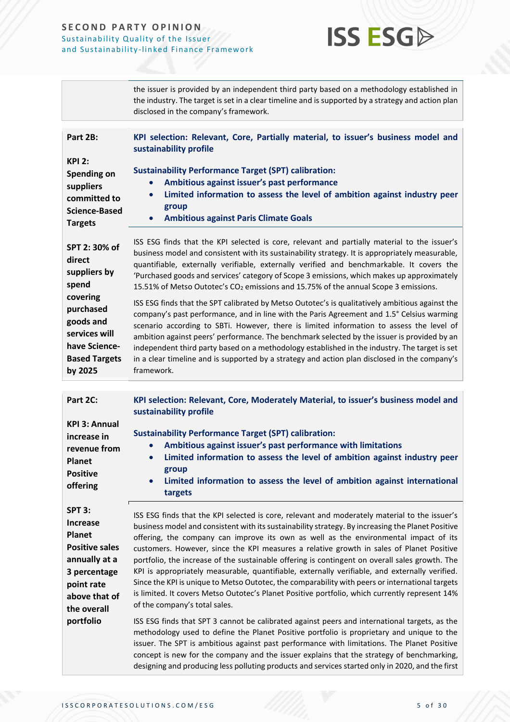

|                                                                                                                                                                              | the issuer is provided by an independent third party based on a methodology established in<br>the industry. The target is set in a clear timeline and is supported by a strategy and action plan<br>disclosed in the company's framework.                                                                                                                                                                                                                                                                                                                                                                                                                                                                                                                                                                                                                                                                                                                                                                                                                                                                                                                |  |  |  |  |
|------------------------------------------------------------------------------------------------------------------------------------------------------------------------------|----------------------------------------------------------------------------------------------------------------------------------------------------------------------------------------------------------------------------------------------------------------------------------------------------------------------------------------------------------------------------------------------------------------------------------------------------------------------------------------------------------------------------------------------------------------------------------------------------------------------------------------------------------------------------------------------------------------------------------------------------------------------------------------------------------------------------------------------------------------------------------------------------------------------------------------------------------------------------------------------------------------------------------------------------------------------------------------------------------------------------------------------------------|--|--|--|--|
| Part 2B:<br><b>KPI 2:</b><br>Spending on<br>suppliers<br>committed to<br><b>Science-Based</b>                                                                                | KPI selection: Relevant, Core, Partially material, to issuer's business model and<br>sustainability profile<br><b>Sustainability Performance Target (SPT) calibration:</b><br>Ambitious against issuer's past performance<br>Limited information to assess the level of ambition against industry peer<br>group                                                                                                                                                                                                                                                                                                                                                                                                                                                                                                                                                                                                                                                                                                                                                                                                                                          |  |  |  |  |
| <b>Targets</b><br>SPT 2:30% of<br>direct<br>suppliers by<br>spend<br>covering<br>purchased<br>goods and<br>services will<br>have Science-<br><b>Based Targets</b><br>by 2025 | <b>Ambitious against Paris Climate Goals</b><br>ISS ESG finds that the KPI selected is core, relevant and partially material to the issuer's<br>business model and consistent with its sustainability strategy. It is appropriately measurable,<br>quantifiable, externally verifiable, externally verified and benchmarkable. It covers the<br>'Purchased goods and services' category of Scope 3 emissions, which makes up approximately<br>15.51% of Metso Outotec's CO <sub>2</sub> emissions and 15.75% of the annual Scope 3 emissions.<br>ISS ESG finds that the SPT calibrated by Metso Outotec's is qualitatively ambitious against the<br>company's past performance, and in line with the Paris Agreement and 1.5° Celsius warming<br>scenario according to SBTi. However, there is limited information to assess the level of<br>ambition against peers' performance. The benchmark selected by the issuer is provided by an<br>independent third party based on a methodology established in the industry. The target is set<br>in a clear timeline and is supported by a strategy and action plan disclosed in the company's<br>framework. |  |  |  |  |
| Part 2C:<br><b>KPI 3: Annual</b>                                                                                                                                             | KPI selection: Relevant, Core, Moderately Material, to issuer's business model and<br>sustainability profile                                                                                                                                                                                                                                                                                                                                                                                                                                                                                                                                                                                                                                                                                                                                                                                                                                                                                                                                                                                                                                             |  |  |  |  |
| increase in<br>revenue from<br><b>Planet</b><br><b>Positive</b><br>offering                                                                                                  | <b>Sustainability Performance Target (SPT) calibration:</b><br>Ambitious against issuer's past performance with limitations<br>$\bullet$<br>Limited information to assess the level of ambition against industry peer<br>$\bullet$<br>group<br>Limited information to assess the level of ambition against international<br>targets                                                                                                                                                                                                                                                                                                                                                                                                                                                                                                                                                                                                                                                                                                                                                                                                                      |  |  |  |  |

**SPT 3:** 

**Increase Planet Positive sales annually at a 3 percentage point rate above that of the overall portfolio**

ISS ESG finds that the KPI selected is core, relevant and moderately material to the issuer's business model and consistent with its sustainability strategy. By increasing the Planet Positive offering, the company can improve its own as well as the environmental impact of its customers. However, since the KPI measures a relative growth in sales of Planet Positive portfolio, the increase of the sustainable offering is contingent on overall sales growth. The KPI is appropriately measurable, quantifiable, externally verifiable, and externally verified. Since the KPI is unique to Metso Outotec, the comparability with peers or international targets is limited. It covers Metso Outotec's Planet Positive portfolio, which currently represent 14% of the company's total sales.

ISS ESG finds that SPT 3 cannot be calibrated against peers and international targets, as the methodology used to define the Planet Positive portfolio is proprietary and unique to the issuer. The SPT is ambitious against past performance with limitations. The Planet Positive concept is new for the company and the issuer explains that the strategy of benchmarking, designing and producing less polluting products and services started only in 2020, and the first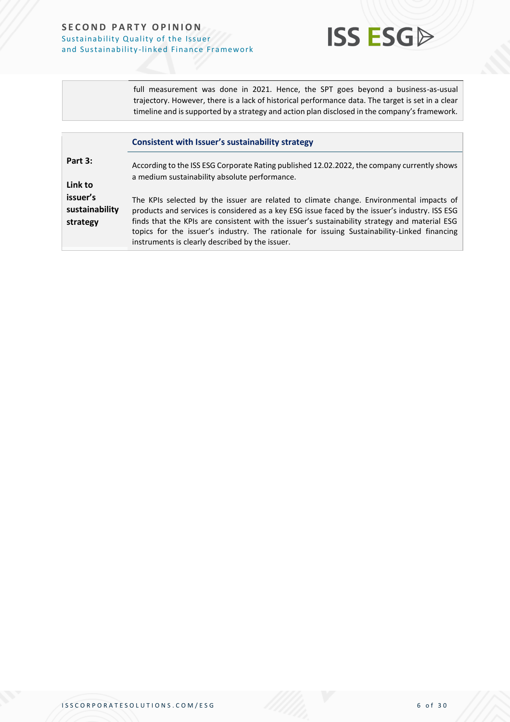

full measurement was done in 2021. Hence, the SPT goes beyond a business-as-usual trajectory. However, there is a lack of historical performance data. The target is set in a clear timeline and is supported by a strategy and action plan disclosed in the company's framework.

|                                        | <b>Consistent with Issuer's sustainability strategy</b>                                                                                                                                                                                                                                                                                                                                                                                      |  |  |  |
|----------------------------------------|----------------------------------------------------------------------------------------------------------------------------------------------------------------------------------------------------------------------------------------------------------------------------------------------------------------------------------------------------------------------------------------------------------------------------------------------|--|--|--|
| Part 3:<br>Link to                     | According to the ISS ESG Corporate Rating published 12.02.2022, the company currently shows<br>a medium sustainability absolute performance.                                                                                                                                                                                                                                                                                                 |  |  |  |
| issuer's<br>sustainability<br>strategy | The KPIs selected by the issuer are related to climate change. Environmental impacts of<br>products and services is considered as a key ESG issue faced by the issuer's industry. ISS ESG<br>finds that the KPIs are consistent with the issuer's sustainability strategy and material ESG<br>topics for the issuer's industry. The rationale for issuing Sustainability-Linked financing<br>instruments is clearly described by the issuer. |  |  |  |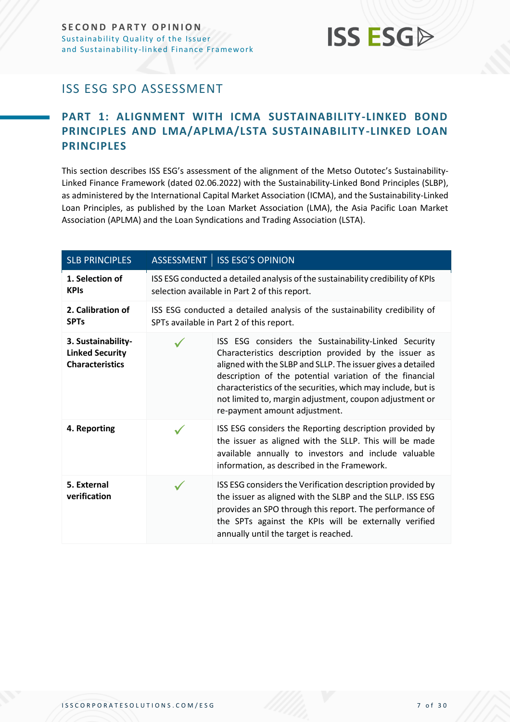

## <span id="page-6-0"></span>ISS ESG SPO ASSESSMENT

## <span id="page-6-1"></span>**PART 1: ALIGNMENT WITH ICMA SUSTAINABILITY-LINKED BOND PRINCIPLES AND LMA/APLMA/LSTA SUSTAINABILITY-LINKED LOAN PRINCIPLES**

This section describes ISS ESG's assessment of the alignment of the Metso Outotec's Sustainability-Linked Finance Framework (dated 02.06.2022) with the Sustainability-Linked Bond Principles (SLBP), as administered by the International Capital Market Association (ICMA), and the Sustainability-Linked Loan Principles, as published by the Loan Market Association (LMA), the Asia Pacific Loan Market Association (APLMA) and the Loan Syndications and Trading Association (LSTA).

| <b>SLB PRINCIPLES</b>                                                  | ASSESSMENT ISS ESG'S OPINION                                                                                                                                                                                                                                                                                                                                                                        |
|------------------------------------------------------------------------|-----------------------------------------------------------------------------------------------------------------------------------------------------------------------------------------------------------------------------------------------------------------------------------------------------------------------------------------------------------------------------------------------------|
| 1. Selection of<br><b>KPIs</b>                                         | ISS ESG conducted a detailed analysis of the sustainability credibility of KPIs<br>selection available in Part 2 of this report.                                                                                                                                                                                                                                                                    |
| 2. Calibration of<br><b>SPTs</b>                                       | ISS ESG conducted a detailed analysis of the sustainability credibility of<br>SPTs available in Part 2 of this report.                                                                                                                                                                                                                                                                              |
| 3. Sustainability-<br><b>Linked Security</b><br><b>Characteristics</b> | ISS ESG considers the Sustainability-Linked Security<br>Characteristics description provided by the issuer as<br>aligned with the SLBP and SLLP. The issuer gives a detailed<br>description of the potential variation of the financial<br>characteristics of the securities, which may include, but is<br>not limited to, margin adjustment, coupon adjustment or<br>re-payment amount adjustment. |
| 4. Reporting                                                           | ISS ESG considers the Reporting description provided by<br>the issuer as aligned with the SLLP. This will be made<br>available annually to investors and include valuable<br>information, as described in the Framework.                                                                                                                                                                            |
| 5. External<br>verification                                            | ISS ESG considers the Verification description provided by<br>the issuer as aligned with the SLBP and the SLLP. ISS ESG<br>provides an SPO through this report. The performance of<br>the SPTs against the KPIs will be externally verified<br>annually until the target is reached.                                                                                                                |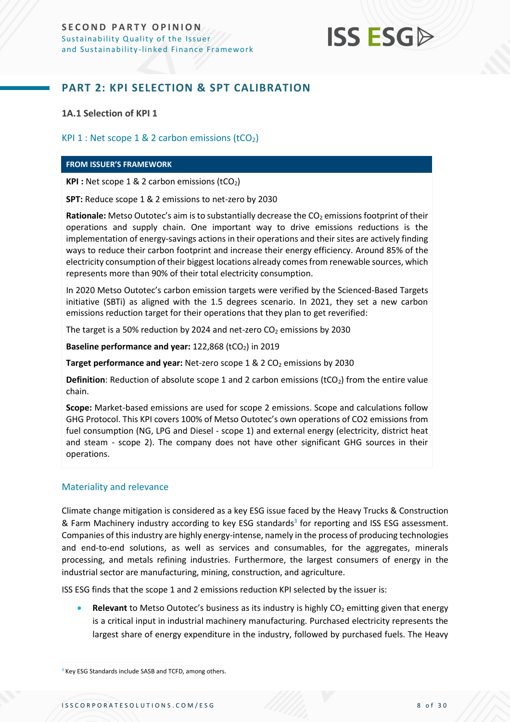

### <span id="page-7-0"></span>**PART 2: KPI SELECTION & SPT CALIBRATION**

**1A.1 Selection of KPI 1**

#### KPI 1 : Net scope 1 & 2 carbon emissions  $(tCO<sub>2</sub>)$

#### **FROM ISSUER'S FRAMEWORK**

**KPI** : Net scope 1 & 2 carbon emissions (tCO<sub>2</sub>)

**SPT:** Reduce scope 1 & 2 emissions to net-zero by 2030

**Rationale:** Metso Outotec's aim is to substantially decrease the CO<sub>2</sub> emissions footprint of their operations and supply chain. One important way to drive emissions reductions is the implementation of energy-savings actions in their operations and their sites are actively finding ways to reduce their carbon footprint and increase their energy efficiency. Around 85% of the electricity consumption of their biggest locations already comes from renewable sources, which represents more than 90% of their total electricity consumption.

In 2020 Metso Outotec's carbon emission targets were verified by the Scienced-Based Targets initiative (SBTi) as aligned with the 1.5 degrees scenario. In 2021, they set a new carbon emissions reduction target for their operations that they plan to get reverified:

The target is a 50% reduction by 2024 and net-zero  $CO<sub>2</sub>$  emissions by 2030

**Baseline performance and year: 122,868 (tCO<sub>2</sub>) in 2019** 

**Target performance and year:** Net-zero scope 1 & 2 CO<sub>2</sub> emissions by 2030

**Definition**: Reduction of absolute scope 1 and 2 carbon emissions (tCO<sub>2</sub>) from the entire value chain.

**Scope:** Market-based emissions are used for scope 2 emissions. Scope and calculations follow GHG Protocol. This KPI covers 100% of Metso Outotec's own operations of CO2 emissions from fuel consumption (NG, LPG and Diesel - scope 1) and external energy (electricity, district heat and steam - scope 2). The company does not have other significant GHG sources in their operations.

#### Materiality and relevance

Climate change mitigation is considered as a key ESG issue faced by the Heavy Trucks & Construction & Farm Machinery industry according to key ESG standards<sup>3</sup> for reporting and ISS ESG assessment. Companies of this industry are highly energy-intense, namely in the process of producing technologies and end-to-end solutions, as well as services and consumables, for the aggregates, minerals processing, and metals refining industries. Furthermore, the largest consumers of energy in the industrial sector are manufacturing, mining, construction, and agriculture.

ISS ESG finds that the scope 1 and 2 emissions reduction KPI selected by the issuer is:

**Relevant** to Metso Outotec's business as its industry is highly CO<sub>2</sub> emitting given that energy is a critical input in industrial machinery manufacturing. Purchased electricity represents the largest share of energy expenditure in the industry, followed by purchased fuels. The Heavy

<sup>&</sup>lt;sup>3</sup> Key ESG Standards include SASB and TCFD, among others.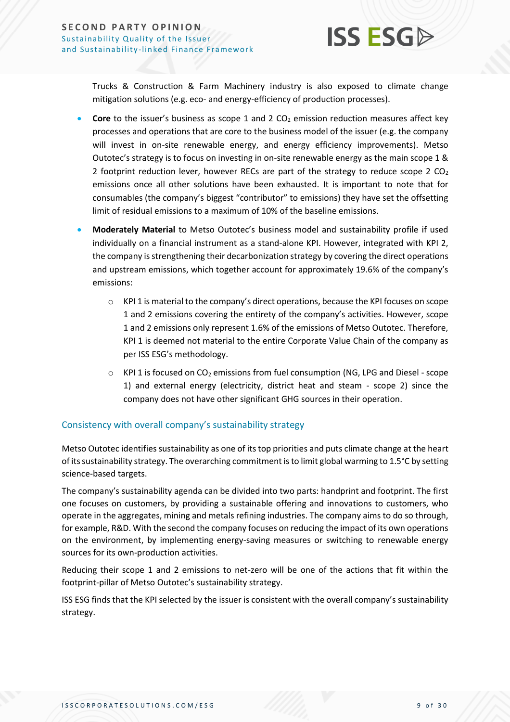

Trucks & Construction & Farm Machinery industry is also exposed to climate change mitigation solutions (e.g. eco- and energy-efficiency of production processes).

- **Core** to the issuer's business as scope 1 and 2  $CO<sub>2</sub>$  emission reduction measures affect key processes and operations that are core to the business model of the issuer (e.g. the company will invest in on-site renewable energy, and energy efficiency improvements). Metso Outotec's strategy is to focus on investing in on-site renewable energy as the main scope 1 & 2 footprint reduction lever, however RECs are part of the strategy to reduce scope 2  $CO<sub>2</sub>$ emissions once all other solutions have been exhausted. It is important to note that for consumables (the company's biggest "contributor" to emissions) they have set the offsetting limit of residual emissions to a maximum of 10% of the baseline emissions.
- **Moderately Material** to Metso Outotec's business model and sustainability profile if used individually on a financial instrument as a stand-alone KPI. However, integrated with KPI 2, the company is strengthening their decarbonization strategy by covering the direct operations and upstream emissions, which together account for approximately 19.6% of the company's emissions:
	- $\circ$  KPI 1 is material to the company's direct operations, because the KPI focuses on scope 1 and 2 emissions covering the entirety of the company's activities. However, scope 1 and 2 emissions only represent 1.6% of the emissions of Metso Outotec. Therefore, KPI 1 is deemed not material to the entire Corporate Value Chain of the company as per ISS ESG's methodology.
	- $\circ$  KPI 1 is focused on CO<sub>2</sub> emissions from fuel consumption (NG, LPG and Diesel scope 1) and external energy (electricity, district heat and steam - scope 2) since the company does not have other significant GHG sources in their operation.

#### Consistency with overall company's sustainability strategy

Metso Outotec identifies sustainability as one of its top priorities and puts climate change at the heart of itssustainability strategy. The overarching commitment is to limit global warming to 1.5°C by setting science-based targets.

The company's sustainability agenda can be divided into two parts: handprint and footprint. The first one focuses on customers, by providing a sustainable offering and innovations to customers, who operate in the aggregates, mining and metals refining industries. The company aims to do so through, for example, R&D. With the second the company focuses on reducing the impact of its own operations on the environment, by implementing energy-saving measures or switching to renewable energy sources for its own-production activities.

Reducing their scope 1 and 2 emissions to net-zero will be one of the actions that fit within the footprint-pillar of Metso Outotec's sustainability strategy.

ISS ESG finds that the KPI selected by the issuer is consistent with the overall company's sustainability strategy.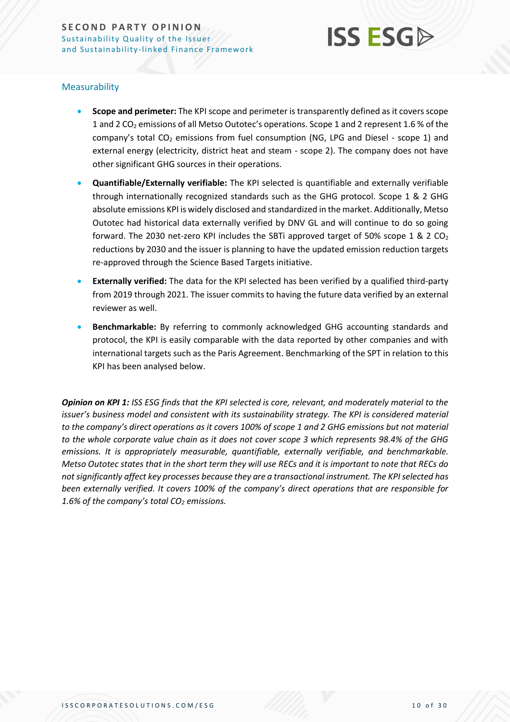

#### Measurability

- **Scope and perimeter:** The KPI scope and perimeter is transparently defined as it covers scope 1 and 2 CO<sub>2</sub> emissions of all Metso Outotec's operations. Scope 1 and 2 represent 1.6 % of the company's total  $CO<sub>2</sub>$  emissions from fuel consumption (NG, LPG and Diesel - scope 1) and external energy (electricity, district heat and steam - scope 2). The company does not have other significant GHG sources in their operations.
- **Quantifiable/Externally verifiable:** The KPI selected is quantifiable and externally verifiable through internationally recognized standards such as the GHG protocol. Scope 1 & 2 GHG absolute emissions KPI is widely disclosed and standardized in the market. Additionally, Metso Outotec had historical data externally verified by DNV GL and will continue to do so going forward. The 2030 net-zero KPI includes the SBTi approved target of 50% scope 1 & 2 CO<sup>2</sup> reductions by 2030 and the issuer is planning to have the updated emission reduction targets re-approved through the Science Based Targets initiative.
- **Externally verified:** The data for the KPI selected has been verified by a qualified third-party from 2019 through 2021. The issuer commits to having the future data verified by an external reviewer as well.
- **Benchmarkable:** By referring to commonly acknowledged GHG accounting standards and protocol, the KPI is easily comparable with the data reported by other companies and with international targets such as the Paris Agreement. Benchmarking of the SPT in relation to this KPI has been analysed below.

*Opinion on KPI 1: ISS ESG finds that the KPI selected is core, relevant, and moderately material to the issuer's business model and consistent with its sustainability strategy. The KPI is considered material to the company's direct operations as it covers 100% of scope 1 and 2 GHG emissions but not material to the whole corporate value chain as it does not cover scope 3 which represents 98.4% of the GHG emissions. It is appropriately measurable, quantifiable, externally verifiable, and benchmarkable. Metso Outotec states that in the short term they will use RECs and it is important to note that RECs do not significantly affect key processes because they are a transactional instrument. The KPIselected has been externally verified. It covers 100% of the company's direct operations that are responsible for 1.6% of the company's total CO<sup>2</sup> emissions.*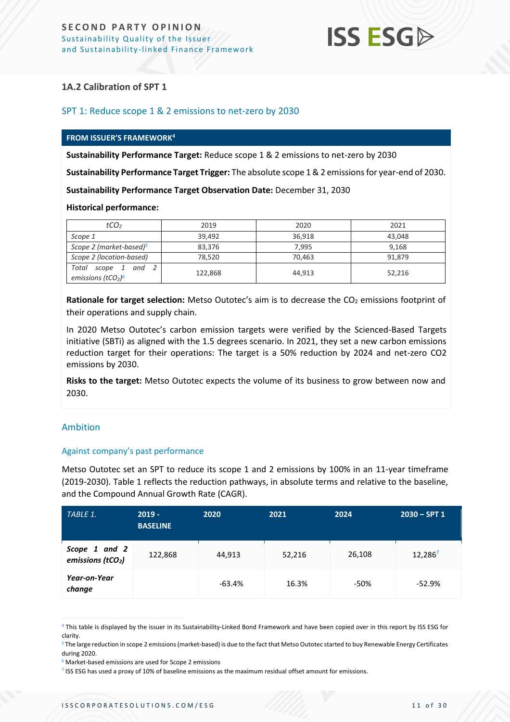

#### **1A.2 Calibration of SPT 1**

#### SPT 1: Reduce scope 1 & 2 emissions to net-zero by 2030

#### **FROM ISSUER'S FRAMEWORK<sup>4</sup>**

**Sustainability Performance Target:** Reduce scope 1 & 2 emissions to net-zero by 2030

**Sustainability Performance Target Trigger:** The absolute scope 1 & 2 emissions for year-end of 2030.

**Sustainability Performance Target Observation Date:** December 31, 2030

#### **Historical performance:**

| tCO <sub>2</sub>                                                      | 2019    | 2020   | 2021   |
|-----------------------------------------------------------------------|---------|--------|--------|
| Scope 1                                                               | 39,492  | 36,918 | 43.048 |
| Scope 2 (market-based) <sup>5</sup>                                   | 83,376  | 7.995  | 9,168  |
| Scope 2 (location-based)                                              | 78,520  | 70,463 | 91,879 |
| Total<br>and<br>scope 1<br>emissions (tCO <sub>2</sub> ) <sup>6</sup> | 122,868 | 44.913 | 52.216 |

**Rationale for target selection:** Metso Outotec's aim is to decrease the CO<sub>2</sub> emissions footprint of their operations and supply chain.

In 2020 Metso Outotec's carbon emission targets were verified by the Scienced-Based Targets initiative (SBTi) as aligned with the 1.5 degrees scenario. In 2021, they set a new carbon emissions reduction target for their operations: The target is a 50% reduction by 2024 and net-zero CO2 emissions by 2030.

**Risks to the target:** Metso Outotec expects the volume of its business to grow between now and 2030.

#### Ambition

#### Against company's past performance

Metso Outotec set an SPT to reduce its scope 1 and 2 emissions by 100% in an 11-year timeframe (2019-2030). Table 1 reflects the reduction pathways, in absolute terms and relative to the baseline, and the Compound Annual Growth Rate (CAGR).

| TABLE 1.                                       | $2019 -$<br><b>BASELINE</b> | 2020     | 2021   | 2024   | $2030 - SPT1$ |
|------------------------------------------------|-----------------------------|----------|--------|--------|---------------|
| Scope 1 and 2<br>emissions (tCO <sub>2</sub> ) | 122,868                     | 44,913   | 52,216 | 26,108 | 12,2867       |
| Year-on-Year<br>change                         |                             | $-63.4%$ | 16.3%  | $-50%$ | $-52.9%$      |

<sup>4</sup> This table is displayed by the issuer in its Sustainability-Linked Bond Framework and have been copied over in this report by ISS ESG for clarity.

<sup>5</sup> The large reduction in scope 2 emissions (market-based) is due to the fact that Metso Outotec started to buy Renewable Energy Certificates during 2020.

<sup>&</sup>lt;sup>6</sup> Market-based emissions are used for Scope 2 emissions

<sup>7</sup> ISS ESG has used a proxy of 10% of baseline emissions as the maximum residual offset amount for emissions.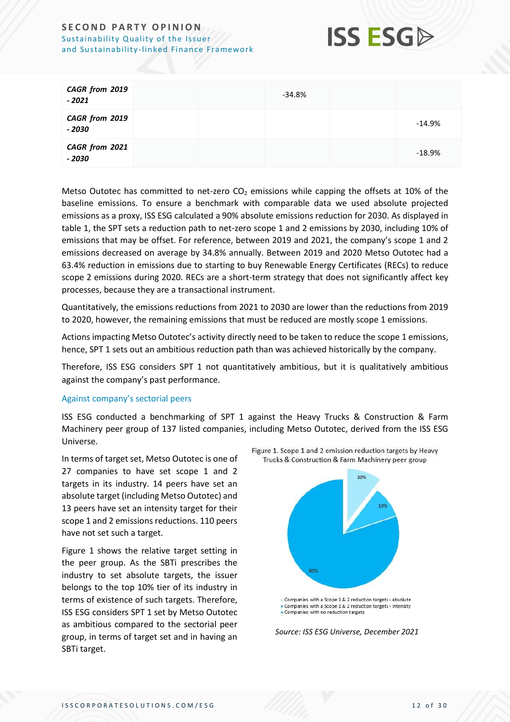

| CAGR from 2019<br>$-2021$ |  | -34.8% |          |
|---------------------------|--|--------|----------|
| CAGR from 2019<br>- 2030  |  |        | $-14.9%$ |
| CAGR from 2021<br>$-2030$ |  |        | $-18.9%$ |

Metso Outotec has committed to net-zero  $CO<sub>2</sub>$  emissions while capping the offsets at 10% of the baseline emissions. To ensure a benchmark with comparable data we used absolute projected emissions as a proxy, ISS ESG calculated a 90% absolute emissions reduction for 2030. As displayed in table 1, the SPT sets a reduction path to net-zero scope 1 and 2 emissions by 2030, including 10% of emissions that may be offset. For reference, between 2019 and 2021, the company's scope 1 and 2 emissions decreased on average by 34.8% annually. Between 2019 and 2020 Metso Outotec had a 63.4% reduction in emissions due to starting to buy Renewable Energy Certificates (RECs) to reduce scope 2 emissions during 2020. RECs are a short-term strategy that does not significantly affect key processes, because they are a transactional instrument.

Quantitatively, the emissions reductions from 2021 to 2030 are lower than the reductions from 2019 to 2020, however, the remaining emissions that must be reduced are mostly scope 1 emissions.

Actions impacting Metso Outotec's activity directly need to be taken to reduce the scope 1 emissions, hence, SPT 1 sets out an ambitious reduction path than was achieved historically by the company.

Therefore, ISS ESG considers SPT 1 not quantitatively ambitious, but it is qualitatively ambitious against the company's past performance.

#### Against company's sectorial peers

ISS ESG conducted a benchmarking of SPT 1 against the Heavy Trucks & Construction & Farm Machinery peer group of 137 listed companies, including Metso Outotec, derived from the ISS ESG Universe.

In terms of target set, Metso Outotec is one of 27 companies to have set scope 1 and 2 targets in its industry. 14 peers have set an absolute target (including Metso Outotec) and 13 peers have set an intensity target for their scope 1 and 2 emissions reductions. 110 peers have not set such a target.

Figure 1 shows the relative target setting in the peer group. As the SBTi prescribes the industry to set absolute targets, the issuer belongs to the top 10% tier of its industry in terms of existence of such targets. Therefore, ISS ESG considers SPT 1 set by Metso Outotec as ambitious compared to the sectorial peer group, in terms of target set and in having an SBTi target.



Figure 1. Scope 1 and 2 emission reduction targets by Heavy Trucks & Construction & Farm Machinery peer group

*Source: ISS ESG Universe, December 2021*

Companies with a Scope 1 & 2 reduction targets - absolute Companies with a Scope 1 & 2 reduction targets - intensity • Companies with no reduction targets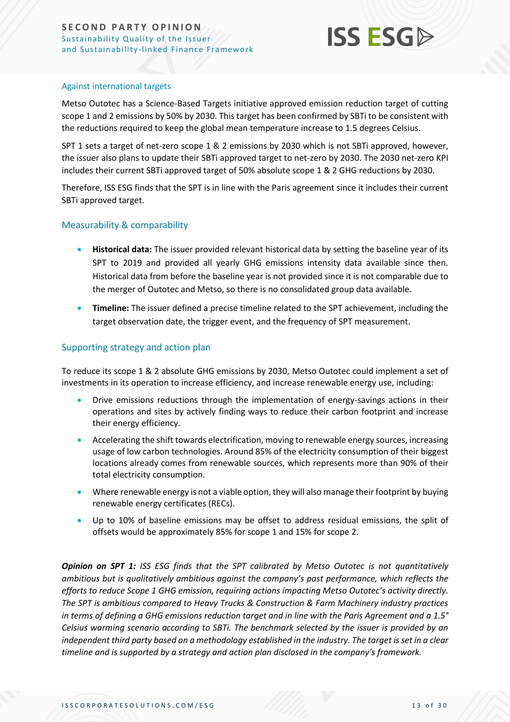

#### Against international targets

Metso Outotec has a Science-Based Targets initiative approved emission reduction target of cutting scope 1 and 2 emissions by 50% by 2030. This target has been confirmed by SBTi to be consistent with the reductions required to keep the global mean temperature increase to 1.5 degrees Celsius.

SPT 1 sets a target of net-zero scope 1 & 2 emissions by 2030 which is not SBTi approved, however, the issuer also plans to update their SBTi approved target to net-zero by 2030. The 2030 net-zero KPI includes their current SBTi approved target of 50% absolute scope 1 & 2 GHG reductions by 2030.

Therefore, ISS ESG finds that the SPT is in line with the Paris agreement since it includes their current SBTi approved target.

#### Measurability & comparability

- **Historical data:** The issuer provided relevant historical data by setting the baseline year of its SPT to 2019 and provided all yearly GHG emissions intensity data available since then. Historical data from before the baseline year is not provided since it is not comparable due to the merger of Outotec and Metso, so there is no consolidated group data available.
- **Timeline:** The issuer defined a precise timeline related to the SPT achievement, including the target observation date, the trigger event, and the frequency of SPT measurement.

#### Supporting strategy and action plan

To reduce its scope 1 & 2 absolute GHG emissions by 2030, Metso Outotec could implement a set of investments in its operation to increase efficiency, and increase renewable energy use, including:

- Drive emissions reductions through the implementation of energy-savings actions in their operations and sites by actively finding ways to reduce their carbon footprint and increase their energy efficiency.
- Accelerating the shift towards electrification, moving to renewable energy sources, increasing usage of low carbon technologies. Around 85% of the electricity consumption of their biggest locations already comes from renewable sources, which represents more than 90% of their total electricity consumption.
- Where renewable energy is not a viable option, they will also manage their footprint by buying renewable energy certificates (RECs).
- Up to 10% of baseline emissions may be offset to address residual emissions, the split of offsets would be approximately 85% for scope 1 and 15% for scope 2.

*Opinion on SPT 1: ISS ESG finds that the SPT calibrated by Metso Outotec is not quantitatively ambitious but is qualitatively ambitious against the company's past performance, which reflects the efforts to reduce Scope 1 GHG emission, requiring actions impacting Metso Outotec's activity directly. The SPT is ambitious compared to Heavy Trucks & Construction & Farm Machinery industry practices in terms of defining a GHG emissions reduction target and in line with the Paris Agreement and a 1.5° Celsius warming scenario according to SBTi. The benchmark selected by the issuer is provided by an independent third party based on a methodology established in the industry. The target is set in a clear timeline and is supported by a strategy and action plan disclosed in the company's framework.*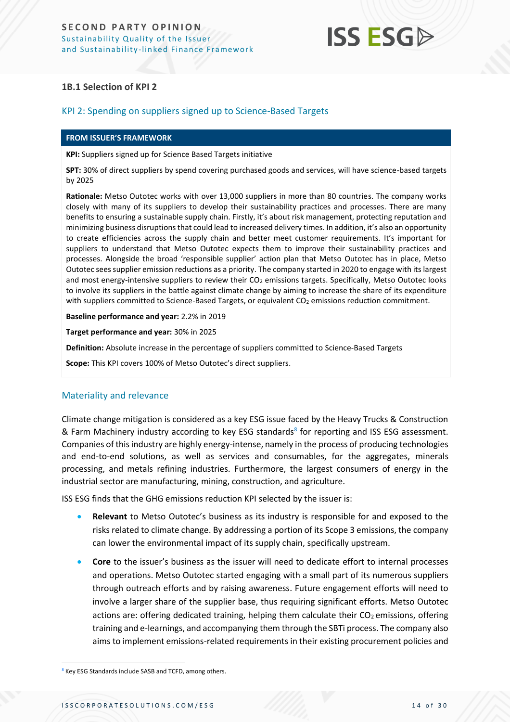## **ISS ESG**

#### **1B.1 Selection of KPI 2**

#### KPI 2: Spending on suppliers signed up to Science-Based Targets

#### **FROM ISSUER'S FRAMEWORK**

**KPI:** Suppliers signed up for Science Based Targets initiative

**SPT:** 30% of direct suppliers by spend covering purchased goods and services, will have science-based targets by 2025

**Rationale:** Metso Outotec works with over 13,000 suppliers in more than 80 countries. The company works closely with many of its suppliers to develop their sustainability practices and processes. There are many benefits to ensuring a sustainable supply chain. Firstly, it's about risk management, protecting reputation and minimizing business disruptions that could lead to increased delivery times. In addition, it's also an opportunity to create efficiencies across the supply chain and better meet customer requirements. It's important for suppliers to understand that Metso Outotec expects them to improve their sustainability practices and processes. Alongside the broad 'responsible supplier' action plan that Metso Outotec has in place, Metso Outotec sees supplier emission reductions as a priority. The company started in 2020 to engage with its largest and most energy-intensive suppliers to review their CO<sub>2</sub> emissions targets. Specifically, Metso Outotec looks to involve its suppliers in the battle against climate change by aiming to increase the share of its expenditure with suppliers committed to Science-Based Targets, or equivalent CO<sub>2</sub> emissions reduction commitment.

**Baseline performance and year:** 2.2% in 2019

**Target performance and year:** 30% in 2025

**Definition:** Absolute increase in the percentage of suppliers committed to Science-Based Targets

**Scope:** This KPI covers 100% of Metso Outotec's direct suppliers.

#### Materiality and relevance

Climate change mitigation is considered as a key ESG issue faced by the Heavy Trucks & Construction & Farm Machinery industry according to key ESG standards<sup>8</sup> for reporting and ISS ESG assessment. Companies of this industry are highly energy-intense, namely in the process of producing technologies and end-to-end solutions, as well as services and consumables, for the aggregates, minerals processing, and metals refining industries. Furthermore, the largest consumers of energy in the industrial sector are manufacturing, mining, construction, and agriculture.

ISS ESG finds that the GHG emissions reduction KPI selected by the issuer is:

- **Relevant** to Metso Outotec's business as its industry is responsible for and exposed to the risks related to climate change. By addressing a portion of its Scope 3 emissions, the company can lower the environmental impact of its supply chain, specifically upstream.
- **Core** to the issuer's business as the issuer will need to dedicate effort to internal processes and operations. Metso Outotec started engaging with a small part of its numerous suppliers through outreach efforts and by raising awareness. Future engagement efforts will need to involve a larger share of the supplier base, thus requiring significant efforts. Metso Outotec actions are: offering dedicated training, helping them calculate their  $CO<sub>2</sub>$  emissions, offering training and e-learnings, and accompanying them through the SBTi process. The company also aims to implement emissions-related requirements in their existing procurement policies and

<sup>8</sup> Key ESG Standards include SASB and TCFD, among others.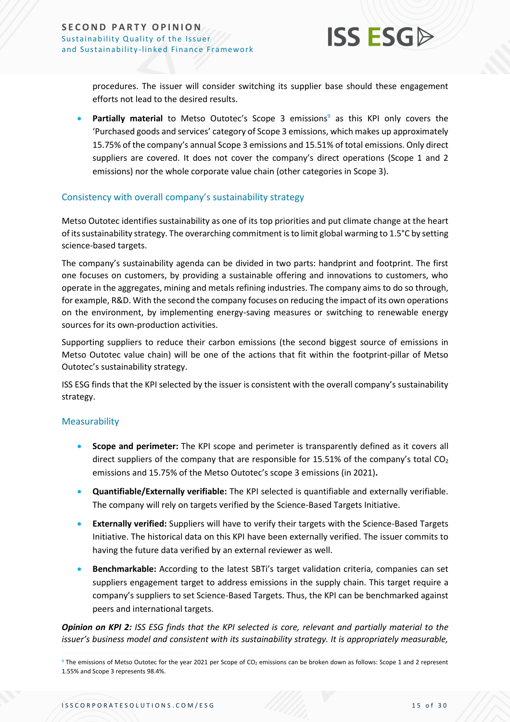

procedures. The issuer will consider switching its supplier base should these engagement efforts not lead to the desired results.

**Partially material** to Metso Outotec's Scope 3 emissions<sup>9</sup> as this KPI only covers the 'Purchased goods and services' category of Scope 3 emissions, which makes up approximately 15.75% of the company's annual Scope 3 emissions and 15.51% of total emissions. Only direct suppliers are covered. It does not cover the company's direct operations (Scope 1 and 2 emissions) nor the whole corporate value chain (other categories in Scope 3).

#### Consistency with overall company's sustainability strategy

Metso Outotec identifies sustainability as one of its top priorities and put climate change at the heart of its sustainability strategy. The overarching commitment is to limit global warming to 1.5°C by setting science-based targets.

The company's sustainability agenda can be divided in two parts: handprint and footprint. The first one focuses on customers, by providing a sustainable offering and innovations to customers, who operate in the aggregates, mining and metals refining industries. The company aims to do so through, for example, R&D. With the second the company focuses on reducing the impact of its own operations on the environment, by implementing energy-saving measures or switching to renewable energy sources for its own-production activities.

Supporting suppliers to reduce their carbon emissions (the second biggest source of emissions in Metso Outotec value chain) will be one of the actions that fit within the footprint-pillar of Metso Outotec's sustainability strategy.

ISS ESG finds that the KPI selected by the issuer is consistent with the overall company's sustainability strategy.

#### Measurability

- **Scope and perimeter:** The KPI scope and perimeter is transparently defined as it covers all direct suppliers of the company that are responsible for 15.51% of the company's total  $CO<sub>2</sub>$ emissions and 15.75% of the Metso Outotec's scope 3 emissions (in 2021)**.**
- **Quantifiable/Externally verifiable:** The KPI selected is quantifiable and externally verifiable. The company will rely on targets verified by the Science-Based Targets Initiative.
- **Externally verified:** Suppliers will have to verify their targets with the Science-Based Targets Initiative. The historical data on this KPI have been externally verified. The issuer commits to having the future data verified by an external reviewer as well.
- **Benchmarkable:** According to the latest SBTi's target validation criteria, companies can set suppliers engagement target to address emissions in the supply chain. This target require a company's suppliers to set Science-Based Targets. Thus, the KPI can be benchmarked against peers and international targets.

*Opinion on KPI 2: ISS ESG finds that the KPI selected is core, relevant and partially material to the issuer's business model and consistent with its sustainability strategy. It is appropriately measurable,* 

<sup>&</sup>lt;sup>9</sup> The emissions of Metso Outotec for the year 2021 per Scope of CO<sub>2</sub> emissions can be broken down as follows: Scope 1 and 2 represent 1.55% and Scope 3 represents 98.4%.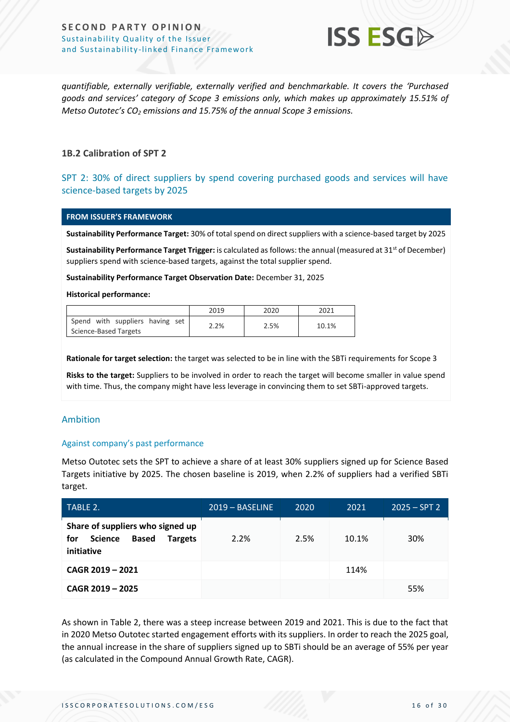

*quantifiable, externally verifiable, externally verified and benchmarkable. It covers the 'Purchased goods and services' category of Scope 3 emissions only, which makes up approximately 15.51% of Metso Outotec's CO<sup>2</sup> emissions and 15.75% of the annual Scope 3 emissions.*

#### **1B.2 Calibration of SPT 2**

#### SPT 2: 30% of direct suppliers by spend covering purchased goods and services will have science-based targets by 2025

#### **FROM ISSUER'S FRAMEWORK**

**Sustainability Performance Target:** 30% of total spend on direct suppliers with a science-based target by 2025

**Sustainability Performance Target Trigger:** is calculated as follows: the annual (measured at 31<sup>st</sup> of December) suppliers spend with science-based targets, against the total supplier spend.

**Sustainability Performance Target Observation Date:** December 31, 2025

#### **Historical performance:**

|                                 | 2019 | 2020 | 2021  |
|---------------------------------|------|------|-------|
| Spend with suppliers having set | 2.2% | 2.5% | 10.1% |
| Science-Based Targets           |      |      |       |

**Rationale for target selection:** the target was selected to be in line with the SBTi requirements for Scope 3

**Risks to the target:** Suppliers to be involved in order to reach the target will become smaller in value spend with time. Thus, the company might have less leverage in convincing them to set SBTi-approved targets.

#### Ambition

#### Against company's past performance

Metso Outotec sets the SPT to achieve a share of at least 30% suppliers signed up for Science Based Targets initiative by 2025. The chosen baseline is 2019, when 2.2% of suppliers had a verified SBTi target.

| TABLE 2.                                                                                                  | $2019 - BASELINE$ | 2020 | 2021  | $2025 - SPT2$ |
|-----------------------------------------------------------------------------------------------------------|-------------------|------|-------|---------------|
| Share of suppliers who signed up<br><b>Based</b><br>for<br><b>Science</b><br><b>Targets</b><br>initiative | 2.2%              | 2.5% | 10.1% | 30%           |
| CAGR 2019 - 2021                                                                                          |                   |      | 114%  |               |
| CAGR 2019 - 2025                                                                                          |                   |      |       | 55%           |

As shown in Table 2, there was a steep increase between 2019 and 2021. This is due to the fact that in 2020 Metso Outotec started engagement efforts with its suppliers. In order to reach the 2025 goal, the annual increase in the share of suppliers signed up to SBTi should be an average of 55% per year (as calculated in the Compound Annual Growth Rate, CAGR).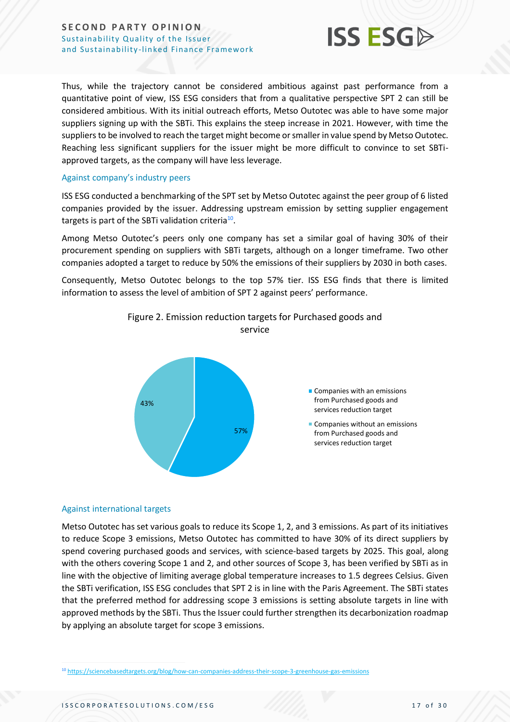

Thus, while the trajectory cannot be considered ambitious against past performance from a quantitative point of view, ISS ESG considers that from a qualitative perspective SPT 2 can still be considered ambitious. With its initial outreach efforts, Metso Outotec was able to have some major suppliers signing up with the SBTi. This explains the steep increase in 2021. However, with time the suppliers to be involved to reach the target might become or smaller in value spend by Metso Outotec. Reaching less significant suppliers for the issuer might be more difficult to convince to set SBTiapproved targets, as the company will have less leverage.

#### Against company's industry peers

ISS ESG conducted a benchmarking of the SPT set by Metso Outotec against the peer group of 6 listed companies provided by the issuer. Addressing upstream emission by setting supplier engagement targets is part of the SBTi validation criteria $^{10}$ .

Among Metso Outotec's peers only one company has set a similar goal of having 30% of their procurement spending on suppliers with SBTi targets, although on a longer timeframe. Two other companies adopted a target to reduce by 50% the emissions of their suppliers by 2030 in both cases.

Consequently, Metso Outotec belongs to the top 57% tier. ISS ESG finds that there is limited information to assess the level of ambition of SPT 2 against peers' performance.





#### Against international targets

Metso Outotec has set various goals to reduce its Scope 1, 2, and 3 emissions. As part of its initiatives to reduce Scope 3 emissions, Metso Outotec has committed to have 30% of its direct suppliers by spend covering purchased goods and services, with science-based targets by 2025. This goal, along with the others covering Scope 1 and 2, and other sources of Scope 3, has been verified by SBTi as in line with the objective of limiting average global temperature increases to 1.5 degrees Celsius. Given the SBTi verification, ISS ESG concludes that SPT 2 is in line with the Paris Agreement. The SBTi states that the preferred method for addressing scope 3 emissions is setting absolute targets in line with approved methods by the SBTi. Thus the Issuer could further strengthen its decarbonization roadmap by applying an absolute target for scope 3 emissions.

<sup>10</sup> <https://sciencebasedtargets.org/blog/how-can-companies-address-their-scope-3-greenhouse-gas-emissions>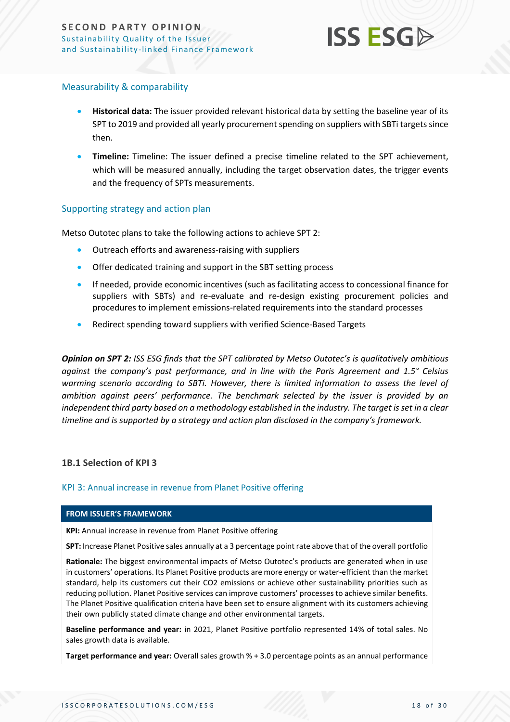

#### Measurability & comparability

- **Historical data:** The issuer provided relevant historical data by setting the baseline year of its SPT to 2019 and provided all yearly procurement spending on suppliers with SBTi targetssince then.
- **Timeline:** Timeline: The issuer defined a precise timeline related to the SPT achievement, which will be measured annually, including the target observation dates, the trigger events and the frequency of SPTs measurements.

#### Supporting strategy and action plan

Metso Outotec plans to take the following actions to achieve SPT 2:

- Outreach efforts and awareness-raising with suppliers
- Offer dedicated training and support in the SBT setting process
- If needed, provide economic incentives (such as facilitating access to concessional finance for suppliers with SBTs) and re-evaluate and re-design existing procurement policies and procedures to implement emissions-related requirements into the standard processes
- Redirect spending toward suppliers with verified Science-Based Targets

*Opinion on SPT 2: ISS ESG finds that the SPT calibrated by Metso Outotec's is qualitatively ambitious against the company's past performance, and in line with the Paris Agreement and 1.5° Celsius warming scenario according to SBTi. However, there is limited information to assess the level of ambition against peers' performance. The benchmark selected by the issuer is provided by an independent third party based on a methodology established in the industry. The target is set in a clear timeline and is supported by a strategy and action plan disclosed in the company's framework.*

#### **1B.1 Selection of KPI 3**

#### KPI 3: Annual increase in revenue from Planet Positive offering

#### **FROM ISSUER'S FRAMEWORK**

**KPI:** Annual increase in revenue from Planet Positive offering

**SPT:** Increase Planet Positive sales annually at a 3 percentage point rate above that of the overall portfolio

**Rationale:** The biggest environmental impacts of Metso Outotec's products are generated when in use in customers' operations. Its Planet Positive products are more energy or water-efficient than the market standard, help its customers cut their CO2 emissions or achieve other sustainability priorities such as reducing pollution. Planet Positive services can improve customers' processes to achieve similar benefits. The Planet Positive qualification criteria have been set to ensure alignment with its customers achieving their own publicly stated climate change and other environmental targets.

**Baseline performance and year:** in 2021, Planet Positive portfolio represented 14% of total sales. No sales growth data is available.

**Target performance and year:** Overall sales growth % + 3.0 percentage points as an annual performance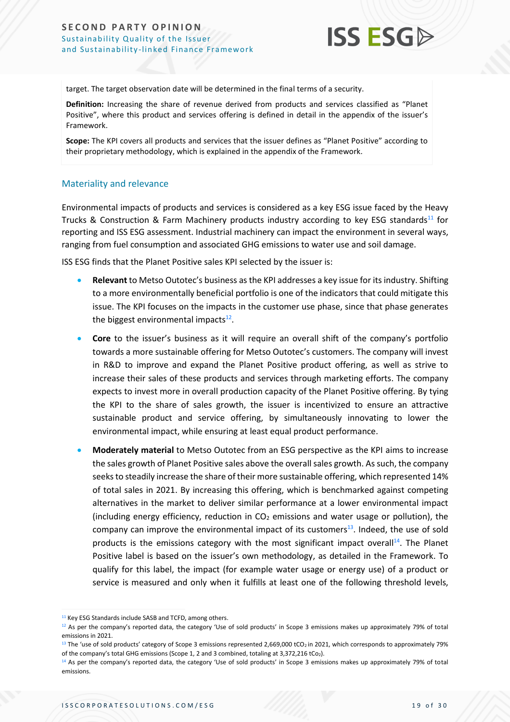

target. The target observation date will be determined in the final terms of a security.

**Definition:** Increasing the share of revenue derived from products and services classified as "Planet Positive", where this product and services offering is defined in detail in the appendix of the issuer's Framework.

**Scope:** The KPI covers all products and services that the issuer defines as "Planet Positive" according to their proprietary methodology, which is explained in the appendix of the Framework.

#### Materiality and relevance

Environmental impacts of products and services is considered as a key ESG issue faced by the Heavy Trucks & Construction & Farm Machinery products industry according to key ESG standards<sup>11</sup> for reporting and ISS ESG assessment. Industrial machinery can impact the environment in several ways, ranging from fuel consumption and associated GHG emissions to water use and soil damage.

ISS ESG finds that the Planet Positive sales KPI selected by the issuer is:

- **Relevant** to Metso Outotec's business as the KPI addresses a key issue for its industry. Shifting to a more environmentally beneficial portfolio is one of the indicators that could mitigate this issue. The KPI focuses on the impacts in the customer use phase, since that phase generates the biggest environmental impacts<sup>12</sup>.
- **Core** to the issuer's business as it will require an overall shift of the company's portfolio towards a more sustainable offering for Metso Outotec's customers. The company will invest in R&D to improve and expand the Planet Positive product offering, as well as strive to increase their sales of these products and services through marketing efforts. The company expects to invest more in overall production capacity of the Planet Positive offering. By tying the KPI to the share of sales growth, the issuer is incentivized to ensure an attractive sustainable product and service offering, by simultaneously innovating to lower the environmental impact, while ensuring at least equal product performance.
- **Moderately material** to Metso Outotec from an ESG perspective as the KPI aims to increase the sales growth of Planet Positive sales above the overall sales growth. As such, the company seeks to steadily increase the share of their more sustainable offering, which represented 14% of total sales in 2021. By increasing this offering, which is benchmarked against competing alternatives in the market to deliver similar performance at a lower environmental impact (including energy efficiency, reduction in  $CO<sub>2</sub>$  emissions and water usage or pollution), the company can improve the environmental impact of its customers<sup>13</sup>. Indeed, the use of sold products is the emissions category with the most significant impact overall<sup>14</sup>. The Planet Positive label is based on the issuer's own methodology, as detailed in the Framework. To qualify for this label, the impact (for example water usage or energy use) of a product or service is measured and only when it fulfills at least one of the following threshold levels,

<sup>&</sup>lt;sup>11</sup> Key ESG Standards include SASB and TCFD, among others.

<sup>12</sup> As per the company's reported data, the category 'Use of sold products' in Scope 3 emissions makes up approximately 79% of total emissions in 2021.

<sup>&</sup>lt;sup>13</sup> The 'use of sold products' category of Scope 3 emissions represented 2,669,000 tCO<sub>2</sub> in 2021, which corresponds to approximately 79% of the company's total GHG emissions (Scope 1, 2 and 3 combined, totaling at 3,372,216 tCo2).

<sup>&</sup>lt;sup>14</sup> As per the company's reported data, the category 'Use of sold products' in Scope 3 emissions makes up approximately 79% of total emissions.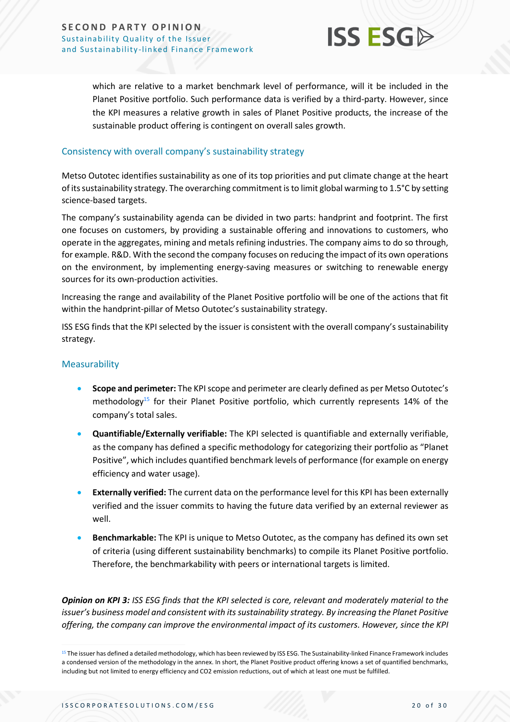

which are relative to a market benchmark level of performance, will it be included in the Planet Positive portfolio. Such performance data is verified by a third-party. However, since the KPI measures a relative growth in sales of Planet Positive products, the increase of the sustainable product offering is contingent on overall sales growth.

#### Consistency with overall company's sustainability strategy

Metso Outotec identifies sustainability as one of its top priorities and put climate change at the heart of itssustainability strategy. The overarching commitment is to limit global warming to 1.5°C by setting science-based targets.

The company's sustainability agenda can be divided in two parts: handprint and footprint. The first one focuses on customers, by providing a sustainable offering and innovations to customers, who operate in the aggregates, mining and metals refining industries. The company aims to do so through, for example. R&D. With the second the company focuses on reducing the impact of its own operations on the environment, by implementing energy-saving measures or switching to renewable energy sources for its own-production activities.

Increasing the range and availability of the Planet Positive portfolio will be one of the actions that fit within the handprint-pillar of Metso Outotec's sustainability strategy.

ISS ESG finds that the KPI selected by the issuer is consistent with the overall company's sustainability strategy.

#### Measurability

- **Scope and perimeter:** The KPI scope and perimeter are clearly defined as per Metso Outotec's methodology<sup>15</sup> for their Planet Positive portfolio, which currently represents 14% of the company's total sales.
- **Quantifiable/Externally verifiable:** The KPI selected is quantifiable and externally verifiable, as the company has defined a specific methodology for categorizing their portfolio as "Planet Positive", which includes quantified benchmark levels of performance (for example on energy efficiency and water usage).
- **Externally verified:** The current data on the performance level for this KPI has been externally verified and the issuer commits to having the future data verified by an external reviewer as well.
- **Benchmarkable:** The KPI is unique to Metso Outotec, as the company has defined its own set of criteria (using different sustainability benchmarks) to compile its Planet Positive portfolio. Therefore, the benchmarkability with peers or international targets is limited.

*Opinion on KPI 3: ISS ESG finds that the KPI selected is core, relevant and moderately material to the issuer's business model and consistent with its sustainability strategy. By increasing the Planet Positive offering, the company can improve the environmental impact of its customers. However, since the KPI* 

<sup>&</sup>lt;sup>15</sup> The issuer has defined a detailed methodology, which has been reviewed by ISS ESG. The Sustainability-linked Finance Framework includes a condensed version of the methodology in the annex. In short, the Planet Positive product offering knows a set of quantified benchmarks, including but not limited to energy efficiency and CO2 emission reductions, out of which at least one must be fulfilled.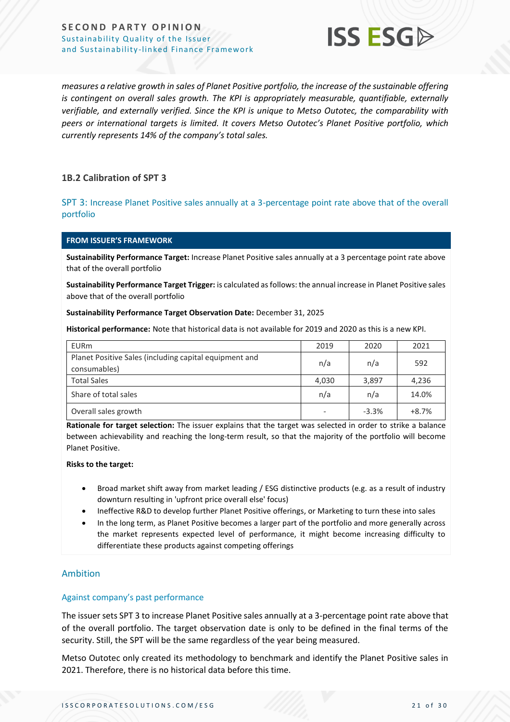

*measures a relative growth in sales of Planet Positive portfolio, the increase of the sustainable offering is contingent on overall sales growth. The KPI is appropriately measurable, quantifiable, externally verifiable, and externally verified. Since the KPI is unique to Metso Outotec, the comparability with peers or international targets is limited. It covers Metso Outotec's Planet Positive portfolio, which currently represents 14% of the company's total sales.*

#### **1B.2 Calibration of SPT 3**

SPT 3: Increase Planet Positive sales annually at a 3-percentage point rate above that of the overall portfolio

#### **FROM ISSUER'S FRAMEWORK**

**Sustainability Performance Target:** Increase Planet Positive sales annually at a 3 percentage point rate above that of the overall portfolio

**Sustainability Performance Target Trigger:** is calculated as follows: the annual increase in Planet Positive sales above that of the overall portfolio

#### **Sustainability Performance Target Observation Date:** December 31, 2025

**Historical performance:** Note that historical data is not available for 2019 and 2020 as this is a new KPI.

| <b>EURm</b>                                                            | 2019  | 2020    | 2021    |
|------------------------------------------------------------------------|-------|---------|---------|
| Planet Positive Sales (including capital equipment and<br>consumables) | n/a   | n/a     | 592     |
| <b>Total Sales</b>                                                     | 4,030 | 3,897   | 4,236   |
| Share of total sales                                                   | n/a   | n/a     | 14.0%   |
| Overall sales growth                                                   |       | $-3.3%$ | $+8.7%$ |

**Rationale for target selection:** The issuer explains that the target was selected in order to strike a balance between achievability and reaching the long-term result, so that the majority of the portfolio will become Planet Positive.

#### **Risks to the target:**

- Broad market shift away from market leading / ESG distinctive products (e.g. as a result of industry downturn resulting in 'upfront price overall else' focus)
- Ineffective R&D to develop further Planet Positive offerings, or Marketing to turn these into sales
- In the long term, as Planet Positive becomes a larger part of the portfolio and more generally across the market represents expected level of performance, it might become increasing difficulty to differentiate these products against competing offerings

#### Ambition

#### Against company's past performance

The issuer sets SPT 3 to increase Planet Positive sales annually at a 3-percentage point rate above that of the overall portfolio. The target observation date is only to be defined in the final terms of the security. Still, the SPT will be the same regardless of the year being measured.

Metso Outotec only created its methodology to benchmark and identify the Planet Positive sales in 2021. Therefore, there is no historical data before this time.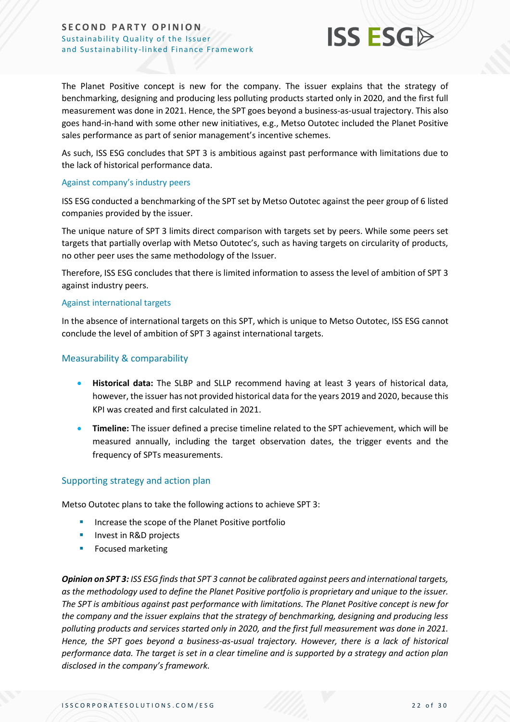

The Planet Positive concept is new for the company. The issuer explains that the strategy of benchmarking, designing and producing less polluting products started only in 2020, and the first full measurement was done in 2021. Hence, the SPT goes beyond a business-as-usual trajectory. This also goes hand-in-hand with some other new initiatives, e.g., Metso Outotec included the Planet Positive sales performance as part of senior management's incentive schemes.

As such, ISS ESG concludes that SPT 3 is ambitious against past performance with limitations due to the lack of historical performance data.

#### Against company's industry peers

ISS ESG conducted a benchmarking of the SPT set by Metso Outotec against the peer group of 6 listed companies provided by the issuer.

The unique nature of SPT 3 limits direct comparison with targets set by peers. While some peers set targets that partially overlap with Metso Outotec's, such as having targets on circularity of products, no other peer uses the same methodology of the Issuer.

Therefore, ISS ESG concludes that there is limited information to assess the level of ambition of SPT 3 against industry peers.

#### Against international targets

In the absence of international targets on this SPT, which is unique to Metso Outotec, ISS ESG cannot conclude the level of ambition of SPT 3 against international targets.

#### Measurability & comparability

- **Historical data:** The SLBP and SLLP recommend having at least 3 years of historical data, however, the issuer has not provided historical data for the years 2019 and 2020, because this KPI was created and first calculated in 2021.
- **Timeline:** The issuer defined a precise timeline related to the SPT achievement, which will be measured annually, including the target observation dates, the trigger events and the frequency of SPTs measurements.

#### Supporting strategy and action plan

Metso Outotec plans to take the following actions to achieve SPT 3:

- **·** Increase the scope of the Planet Positive portfolio
- **■** Invest in R&D projects
- **EXECUTED FINDING** Focused marketing

*Opinion on SPT 3: ISS ESG finds that SPT 3 cannot be calibrated against peers and international targets, as the methodology used to define the Planet Positive portfolio is proprietary and unique to the issuer. The SPT is ambitious against past performance with limitations. The Planet Positive concept is new for the company and the issuer explains that the strategy of benchmarking, designing and producing less polluting products and services started only in 2020, and the first full measurement was done in 2021. Hence, the SPT goes beyond a business-as-usual trajectory. However, there is a lack of historical performance data. The target is set in a clear timeline and is supported by a strategy and action plan disclosed in the company's framework.*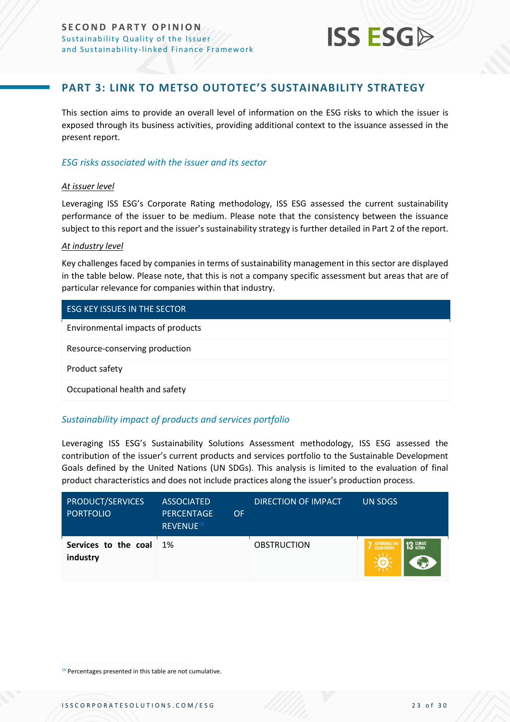

### **PART 3: LINK TO METSO OUTOTEC'S SUSTAINABILITY STRATEGY**

<span id="page-22-0"></span>This section aims to provide an overall level of information on the ESG risks to which the issuer is exposed through its business activities, providing additional context to the issuance assessed in the present report.

#### *ESG risks associated with the issuer and its sector*

#### *At issuer level*

Leveraging ISS ESG's Corporate Rating methodology, ISS ESG assessed the current sustainability performance of the issuer to be medium. Please note that the consistency between the issuance subject to this report and the issuer's sustainability strategy is further detailed in Part 2 of the report.

#### *At industry level*

Key challenges faced by companies in terms of sustainability management in this sector are displayed in the table below. Please note, that this is not a company specific assessment but areas that are of particular relevance for companies within that industry.

#### ESG KEY ISSUES IN THE SECTOR

Environmental impacts of products

Resource-conserving production

Product safety

Occupational health and safety

#### *Sustainability impact of products and services portfolio*

Leveraging ISS ESG's Sustainability Solutions Assessment methodology, ISS ESG assessed the contribution of the issuer's current products and services portfolio to the Sustainable Development Goals defined by the United Nations (UN SDGs). This analysis is limited to the evaluation of final product characteristics and does not include practices along the issuer's production process.

| <b>PRODUCT/SERVICES</b><br><b>PORTFOLIO</b> | <b>ASSOCIATED</b><br><b>PERCENTAGE</b><br><b>OF</b><br>REVENUE <sup>16</sup> | DIRECTION OF IMPACT | UN SDGS                                    |
|---------------------------------------------|------------------------------------------------------------------------------|---------------------|--------------------------------------------|
| Services to the coal<br>industry            | 1%                                                                           | <b>OBSTRUCTION</b>  | <b>13 GLIMATE</b><br>AFFORDABLE AND<br>ENN |

<sup>16</sup> Percentages presented in this table are not cumulative.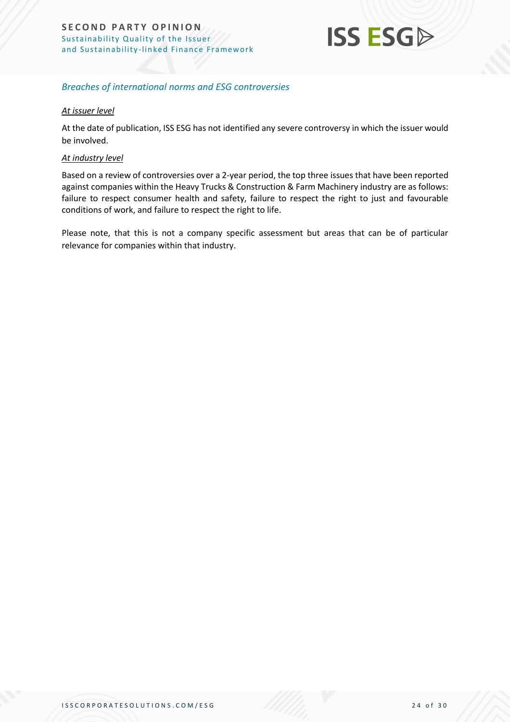

#### *Breaches of international norms and ESG controversies*

#### *At issuer level*

At the date of publication, ISS ESG has not identified any severe controversy in which the issuer would be involved.

#### *At industry level*

Based on a review of controversies over a 2-year period, the top three issues that have been reported against companies within the Heavy Trucks & Construction & Farm Machinery industry are as follows: failure to respect consumer health and safety, failure to respect the right to just and favourable conditions of work, and failure to respect the right to life.

Please note, that this is not a company specific assessment but areas that can be of particular relevance for companies within that industry.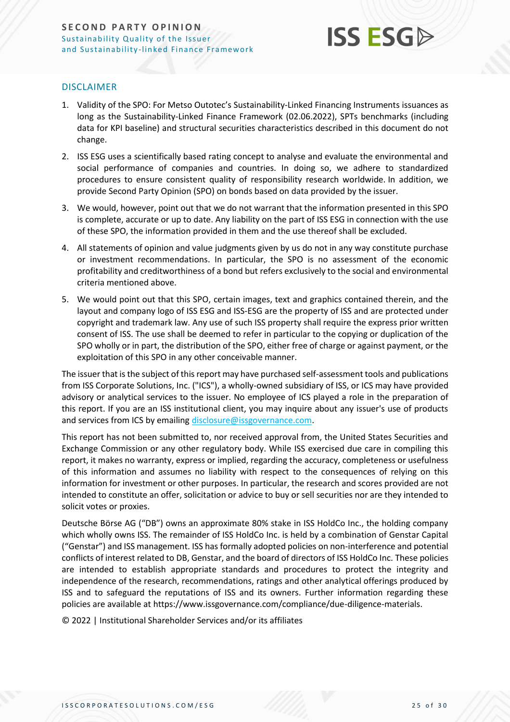

#### DISCLAIMER

- 1. Validity of the SPO: For Metso Outotec's Sustainability-Linked Financing Instruments issuances as long as the Sustainability-Linked Finance Framework (02.06.2022), SPTs benchmarks (including data for KPI baseline) and structural securities characteristics described in this document do not change.
- 2. ISS ESG uses a scientifically based rating concept to analyse and evaluate the environmental and social performance of companies and countries. In doing so, we adhere to standardized procedures to ensure consistent quality of responsibility research worldwide. In addition, we provide Second Party Opinion (SPO) on bonds based on data provided by the issuer.
- 3. We would, however, point out that we do not warrant that the information presented in this SPO is complete, accurate or up to date. Any liability on the part of ISS ESG in connection with the use of these SPO, the information provided in them and the use thereof shall be excluded.
- 4. All statements of opinion and value judgments given by us do not in any way constitute purchase or investment recommendations. In particular, the SPO is no assessment of the economic profitability and creditworthiness of a bond but refers exclusively to the social and environmental criteria mentioned above.
- 5. We would point out that this SPO, certain images, text and graphics contained therein, and the layout and company logo of ISS ESG and ISS-ESG are the property of ISS and are protected under copyright and trademark law. Any use of such ISS property shall require the express prior written consent of ISS. The use shall be deemed to refer in particular to the copying or duplication of the SPO wholly or in part, the distribution of the SPO, either free of charge or against payment, or the exploitation of this SPO in any other conceivable manner.

The issuer that is the subject of this report may have purchased self-assessment tools and publications from ISS Corporate Solutions, Inc. ("ICS"), a wholly-owned subsidiary of ISS, or ICS may have provided advisory or analytical services to the issuer. No employee of ICS played a role in the preparation of this report. If you are an ISS institutional client, you may inquire about any issuer's use of products and services from ICS by emailin[g disclosure@issgovernance.com.](mailto:disclosure@issgovernance.com)

This report has not been submitted to, nor received approval from, the United States Securities and Exchange Commission or any other regulatory body. While ISS exercised due care in compiling this report, it makes no warranty, express or implied, regarding the accuracy, completeness or usefulness of this information and assumes no liability with respect to the consequences of relying on this information for investment or other purposes. In particular, the research and scores provided are not intended to constitute an offer, solicitation or advice to buy or sell securities nor are they intended to solicit votes or proxies.

Deutsche Börse AG ("DB") owns an approximate 80% stake in ISS HoldCo Inc., the holding company which wholly owns ISS. The remainder of ISS HoldCo Inc. is held by a combination of Genstar Capital ("Genstar") and ISS management. ISS has formally adopted policies on non-interference and potential conflicts of interest related to DB, Genstar, and the board of directors of ISS HoldCo Inc. These policies are intended to establish appropriate standards and procedures to protect the integrity and independence of the research, recommendations, ratings and other analytical offerings produced by ISS and to safeguard the reputations of ISS and its owners. Further information regarding these policies are available at https://www.issgovernance.com/compliance/due-diligence-materials.

© 2022 | Institutional Shareholder Services and/or its affiliates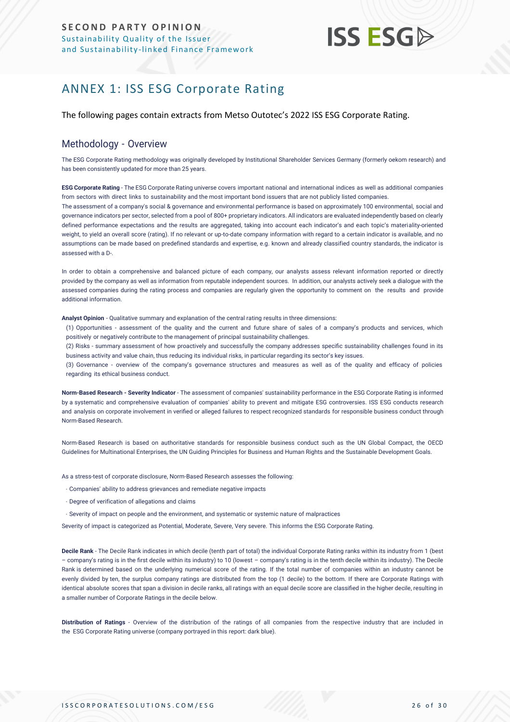## **ISS ESGA**

## <span id="page-25-0"></span>ANNEX 1: ISS ESG Corporate Rating

The following pages contain extracts from Metso Outotec's 2022 ISS ESG Corporate Rating.

#### Methodology - Overview

The ESG Corporate Rating methodology was originally developed by Institutional Shareholder Services Germany (formerly oekom research) and has been consistently updated for more than 25 years.

**ESG Corporate Rating** - The ESG Corporate Rating universe covers important national and international indices as well as additional companies from sectors with direct links to sustainability and the most important bond issuers that are not publicly listed companies. The assessment of a company's social & governance and environmental performance is based on approximately 100 environmental, social and governance indicators per sector, selected from a pool of 800+ proprietary indicators. All indicators are evaluated independently based on clearly defined performance expectations and the results are aggregated, taking into account each indicator's and each topic's materiality-oriented weight, to yield an overall score (rating). If no relevant or up-to-date company information with regard to a certain indicator is available, and no assumptions can be made based on predefined standards and expertise, e.g. known and already classified country standards, the indicator is assessed with a D-.

In order to obtain a comprehensive and balanced picture of each company, our analysts assess relevant information reported or directly provided by the company as well as information from reputable independent sources. In addition, our analysts actively seek a dialogue with the assessed companies during the rating process and companies are regularly given the opportunity to comment on the results and provide additional information.

**Analyst Opinion** - Qualitative summary and explanation of the central rating results in three dimensions:

- (1) Opportunities assessment of the quality and the current and future share of sales of a company's products and services, which positively or negatively contribute to the management of principal sustainability challenges.
- (2) Risks summary assessment of how proactively and successfully the company addresses specific sustainability challenges found in its business activity and value chain, thus reducing its individual risks, in particular regarding its sector's key issues.
- (3) Governance overview of the company's governance structures and measures as well as of the quality and efficacy of policies regarding its ethical business conduct.

**Norm-Based Research - Severity Indicator** - The assessment of companies' sustainability performance in the ESG Corporate Rating is informed by a systematic and comprehensive evaluation of companies' ability to prevent and mitigate ESG controversies. ISS ESG conducts research and analysis [on corporate involvement in verified or alleged failures to respect recognized standards](https://www.issgovernance.com/esg/screening/esg-screening-solutions/#nbr_techdoc_download) for responsible business conduct through [Norm-Based](https://www.issgovernance.com/esg/screening/esg-screening-solutions/#nbr_techdoc_download) Research.

Norm-Based Research is based on authoritative standards for responsible business conduct such as the UN Global Compact, the OECD Guidelines for Multinational Enterprises, the UN Guiding Principles for Business and Human Rights and the Sustainable Development Goals.

As a stress-test of corporate disclosure, Norm-Based Research assesses the following:

- Companies' ability to address grievances and remediate negative impacts
- Degree of verification of allegations and claims
- Severity of impact on people and the environment, and systematic or systemic nature of malpractices

Severity of impact is categorized as Potential, Moderate, Severe, Very severe. This informs the ESG Corporate Rating.

**Decile Rank** - The Decile Rank indicates in which decile (tenth part of total) the individual Corporate Rating ranks within its industry from 1 (best – company's rating is in the first decile within its industry) to 10 (lowest – company's rating is in the tenth decile within its industry). The Decile Rank is determined based on the underlying numerical score of the rating. If the total number of companies within an industry cannot be evenly divided by ten, the surplus company ratings are distributed from the top (1 decile) to the bottom. If there are Corporate Ratings with identical absolute scores that span a division in decile ranks, all ratings with an equal decile score are classified in the higher decile, resulting in a smaller number of Corporate Ratings in the decile below.

**Distribution of Ratings** - Overview of the distribution of the ratings of all companies from the respective industry that are included in the ESG Corporate Rating universe (company portrayed in this report: dark blue).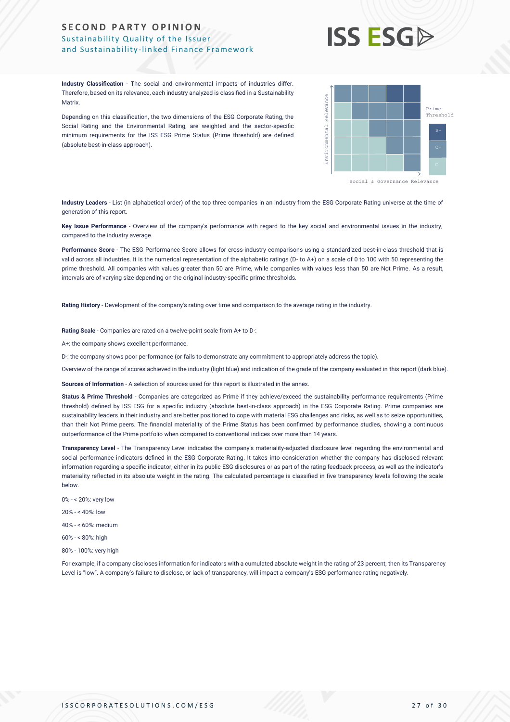## **ISS ESG**

**Industry Classification** - The social and environmental impacts of industries differ. Therefore, based on its relevance, each industry analyzed is classified in a Sustainability **Matrix** 

Depending on this classification, the two dimensions of the ESG Corporate Rating, the Social Rating and the Environmental Rating, are weighted and the sector-specific minimum requirements for the ISS ESG Prime Status (Prime threshold) are defined (absolute best-in-class approach).



**Industry Leaders** - List (in alphabetical order) of the top three companies in an industry from the ESG Corporate Rating universe at the time of generation of this report.

**Key Issue Performance** - Overview of the company's performance with regard to the key social and environmental issues in the industry, compared to the industry average.

**Performance Score** - The ESG Performance Score allows for cross-industry comparisons using a standardized best-in-class threshold that is valid across all industries. It is the numerical representation of the alphabetic ratings (D- to A+) on a scale of 0 to 100 with 50 representing the prime threshold. All companies with values greater than 50 are Prime, while companies with values less than 50 are Not Prime. As a result, intervals are of varying size depending on the original industry-specific prime thresholds.

**Rating History** - Development of the company's rating over time and comparison to the average rating in the industry.

**Rating Scale** - Companies are rated on a twelve-point scale from A+ to D-:

A+: the company shows excellent performance.

D-: the company shows poor performance (or fails to demonstrate any commitment to appropriately address the topic).

Overview of the range of scores achieved in the industry (light blue) and indication of the grade of the company evaluated in this report (dark blue).

**Sources of Information** - A selection of sources used for this report is illustrated in the annex.

**Status & Prime Threshold** - Companies are categorized as Prime if they achieve/exceed the sustainability performance requirements (Prime threshold) defined by ISS ESG for a specific industry (absolute best-in-class approach) in the ESG Corporate Rating. Prime companies are sustainability leaders in their industry and are better positioned to cope with material ESG challenges and risks, as well as to seize opportunities, than their Not Prime peers. The financial materiality of the Prime Status has been confirmed by performance studies, showing a continuous outperformance of the Prime portfolio when compared to conventional indices over more than 14 years.

**Transparency Level** - The Transparency Level indicates the company's materiality-adjusted disclosure level regarding the environmental and social performance indicators defined in the ESG Corporate Rating. It takes into consideration whether the company has disclosed relevant information regarding a specific indicator, either in its public ESG disclosures or as part of the rating feedback process, as well as the indicator's materiality reflected in its absolute weight in the rating. The calculated percentage is classified in five transparency levels following the scale below. Metric is the theoretics, the transparency of the ESS Corporate Britis, the second second in the second second<br>
Specifical metric and The Technology and Technology are weighted and the second second<br>
metric transparence is

- 0% < 20%: very low
- 20% < 40%: low
- 40% < 60%: medium
- 60% < 80%: high
- 80% 100%: very high

For example, if a company discloses information for indicators with a cumulated absolute weight in the rating of 23 percent, then its Transparency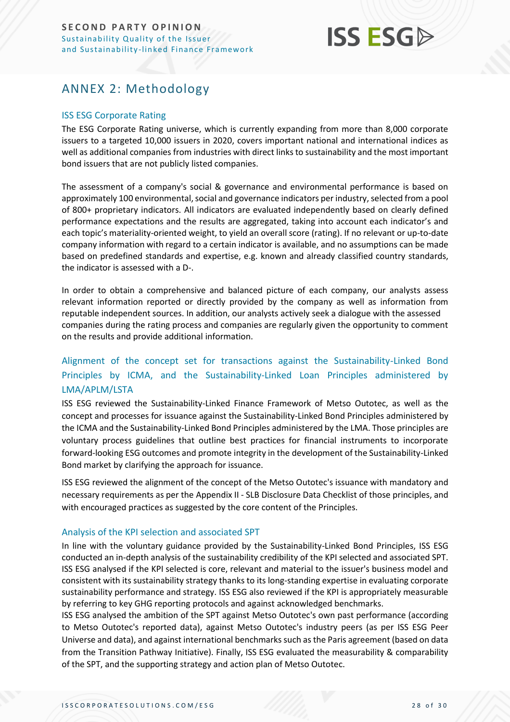

## <span id="page-27-0"></span>ANNEX 2: Methodology

#### ISS ESG Corporate Rating

The ESG Corporate Rating universe, which is currently expanding from more than 8,000 corporate issuers to a targeted 10,000 issuers in 2020, covers important national and international indices as well as additional companies from industries with direct links to sustainability and the most important bond issuers that are not publicly listed companies.

The assessment of a company's social & governance and environmental performance is based on approximately 100 environmental, social and governance indicators per industry, selected from a pool of 800+ proprietary indicators. All indicators are evaluated independently based on clearly defined performance expectations and the results are aggregated, taking into account each indicator's and each topic's materiality-oriented weight, to yield an overall score (rating). If no relevant or up-to-date company information with regard to a certain indicator is available, and no assumptions can be made based on predefined standards and expertise, e.g. known and already classified country standards, the indicator is assessed with a D-.

In order to obtain a comprehensive and balanced picture of each company, our analysts assess relevant information reported or directly provided by the company as well as information from reputable independent sources. In addition, our analysts actively seek a dialogue with the assessed companies during the rating process and companies are regularly given the opportunity to comment on the results and provide additional information.

### Alignment of the concept set for transactions against the Sustainability-Linked Bond Principles by ICMA, and the Sustainability-Linked Loan Principles administered by LMA/APLM/LSTA

ISS ESG reviewed the Sustainability-Linked Finance Framework of Metso Outotec, as well as the concept and processes for issuance against the Sustainability-Linked Bond Principles administered by the ICMA and the Sustainability-Linked Bond Principles administered by the LMA. Those principles are voluntary process guidelines that outline best practices for financial instruments to incorporate forward-looking ESG outcomes and promote integrity in the development of the Sustainability-Linked Bond market by clarifying the approach for issuance.

ISS ESG reviewed the alignment of the concept of the Metso Outotec's issuance with mandatory and necessary requirements as per the Appendix II - SLB Disclosure Data Checklist of those principles, and with encouraged practices as suggested by the core content of the Principles.

#### Analysis of the KPI selection and associated SPT

In line with the voluntary guidance provided by the Sustainability-Linked Bond Principles, ISS ESG conducted an in-depth analysis of the sustainability credibility of the KPI selected and associated SPT. ISS ESG analysed if the KPI selected is core, relevant and material to the issuer's business model and consistent with its sustainability strategy thanks to its long-standing expertise in evaluating corporate sustainability performance and strategy. ISS ESG also reviewed if the KPI is appropriately measurable by referring to key GHG reporting protocols and against acknowledged benchmarks.

ISS ESG analysed the ambition of the SPT against Metso Outotec's own past performance (according to Metso Outotec's reported data), against Metso Outotec's industry peers (as per ISS ESG Peer Universe and data), and against international benchmarks such as the Paris agreement (based on data from the Transition Pathway Initiative). Finally, ISS ESG evaluated the measurability & comparability of the SPT, and the supporting strategy and action plan of Metso Outotec.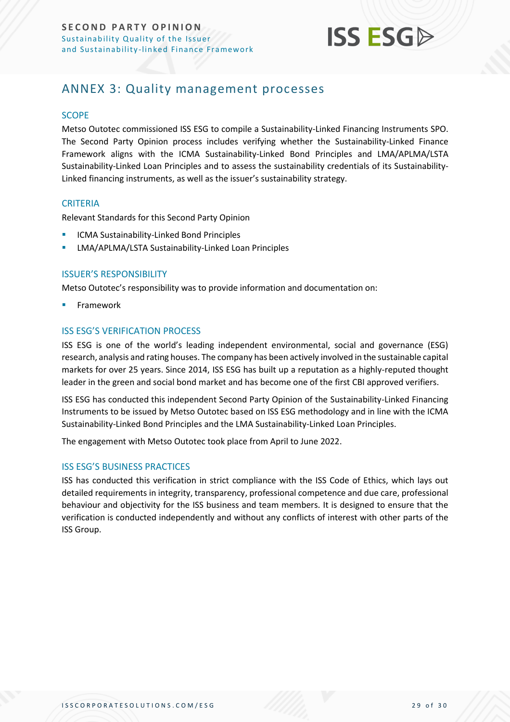

## <span id="page-28-0"></span>ANNEX 3: Quality management processes

#### **SCOPE**

Metso Outotec commissioned ISS ESG to compile a Sustainability-Linked Financing Instruments SPO. The Second Party Opinion process includes verifying whether the Sustainability-Linked Finance Framework aligns with the ICMA Sustainability-Linked Bond Principles and LMA/APLMA/LSTA Sustainability-Linked Loan Principles and to assess the sustainability credentials of its Sustainability-Linked financing instruments, as well as the issuer's sustainability strategy.

#### **CRITERIA**

Relevant Standards for this Second Party Opinion

- ICMA Sustainability-Linked Bond Principles
- LMA/APLMA/LSTA Sustainability-Linked Loan Principles

#### ISSUER'S RESPONSIBILITY

Metso Outotec's responsibility was to provide information and documentation on:

**Framework** 

#### ISS ESG'S VERIFICATION PROCESS

ISS ESG is one of the world's leading independent environmental, social and governance (ESG) research, analysis and rating houses. The company has been actively involved in the sustainable capital markets for over 25 years. Since 2014, ISS ESG has built up a reputation as a highly-reputed thought leader in the green and social bond market and has become one of the first CBI approved verifiers.

ISS ESG has conducted this independent Second Party Opinion of the Sustainability-Linked Financing Instruments to be issued by Metso Outotec based on ISS ESG methodology and in line with the ICMA Sustainability-Linked Bond Principles and the LMA Sustainability-Linked Loan Principles.

The engagement with Metso Outotec took place from April to June 2022.

#### ISS ESG'S BUSINESS PRACTICES

ISS has conducted this verification in strict compliance with the ISS Code of Ethics, which lays out detailed requirements in integrity, transparency, professional competence and due care, professional behaviour and objectivity for the ISS business and team members. It is designed to ensure that the verification is conducted independently and without any conflicts of interest with other parts of the ISS Group.